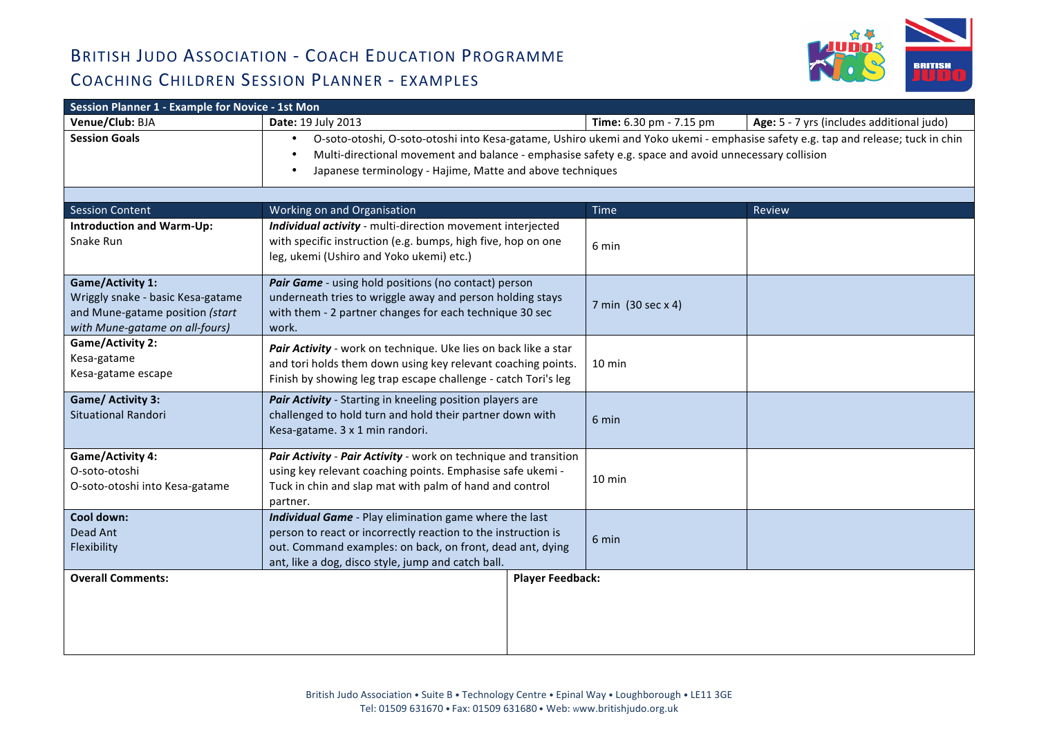

| Session Planner 1 - Example for Novice - 1st Mon                                                                                  |                                                                                                                                                                                                                                                                                                                    |                         |                                           |  |  |
|-----------------------------------------------------------------------------------------------------------------------------------|--------------------------------------------------------------------------------------------------------------------------------------------------------------------------------------------------------------------------------------------------------------------------------------------------------------------|-------------------------|-------------------------------------------|--|--|
| Venue/Club: BJA                                                                                                                   | Date: 19 July 2013                                                                                                                                                                                                                                                                                                 | Time: 6.30 pm - 7.15 pm | Age: 5 - 7 yrs (includes additional judo) |  |  |
| <b>Session Goals</b>                                                                                                              | O-soto-otoshi, O-soto-otoshi into Kesa-gatame, Ushiro ukemi and Yoko ukemi - emphasise safety e.g. tap and release; tuck in chin<br>$\bullet$<br>Multi-directional movement and balance - emphasise safety e.g. space and avoid unnecessary collision<br>Japanese terminology - Hajime, Matte and above techniques |                         |                                           |  |  |
|                                                                                                                                   |                                                                                                                                                                                                                                                                                                                    |                         |                                           |  |  |
| <b>Session Content</b>                                                                                                            | Working on and Organisation                                                                                                                                                                                                                                                                                        | <b>Time</b>             | Review                                    |  |  |
| <b>Introduction and Warm-Up:</b><br>Snake Run                                                                                     | Individual activity - multi-direction movement interjected<br>with specific instruction (e.g. bumps, high five, hop on one<br>leg, ukemi (Ushiro and Yoko ukemi) etc.)                                                                                                                                             | 6 min                   |                                           |  |  |
| <b>Game/Activity 1:</b><br>Wriggly snake - basic Kesa-gatame<br>and Mune-gatame position (start<br>with Mune-gatame on all-fours) | Pair Game - using hold positions (no contact) person<br>underneath tries to wriggle away and person holding stays<br>with them - 2 partner changes for each technique 30 sec<br>work.                                                                                                                              | 7 min (30 sec x 4)      |                                           |  |  |
| <b>Game/Activity 2:</b><br>Kesa-gatame<br>Kesa-gatame escape                                                                      | Pair Activity - work on technique. Uke lies on back like a star<br>and tori holds them down using key relevant coaching points.<br>Finish by showing leg trap escape challenge - catch Tori's leg                                                                                                                  | $10 \text{ min}$        |                                           |  |  |
| Game/ Activity 3:<br><b>Situational Randori</b>                                                                                   | Pair Activity - Starting in kneeling position players are<br>challenged to hold turn and hold their partner down with<br>Kesa-gatame. 3 x 1 min randori.                                                                                                                                                           | 6 min                   |                                           |  |  |
| <b>Game/Activity 4:</b><br>O-soto-otoshi<br>O-soto-otoshi into Kesa-gatame                                                        | Pair Activity - Pair Activity - work on technique and transition<br>using key relevant coaching points. Emphasise safe ukemi -<br>Tuck in chin and slap mat with palm of hand and control<br>partner.                                                                                                              | $10 \text{ min}$        |                                           |  |  |
| Cool down:<br>Dead Ant<br>Flexibility                                                                                             | Individual Game - Play elimination game where the last<br>person to react or incorrectly reaction to the instruction is<br>out. Command examples: on back, on front, dead ant, dying<br>ant, like a dog, disco style, jump and catch ball.                                                                         | 6 min                   |                                           |  |  |
| <b>Overall Comments:</b>                                                                                                          | <b>Player Feedback:</b>                                                                                                                                                                                                                                                                                            |                         |                                           |  |  |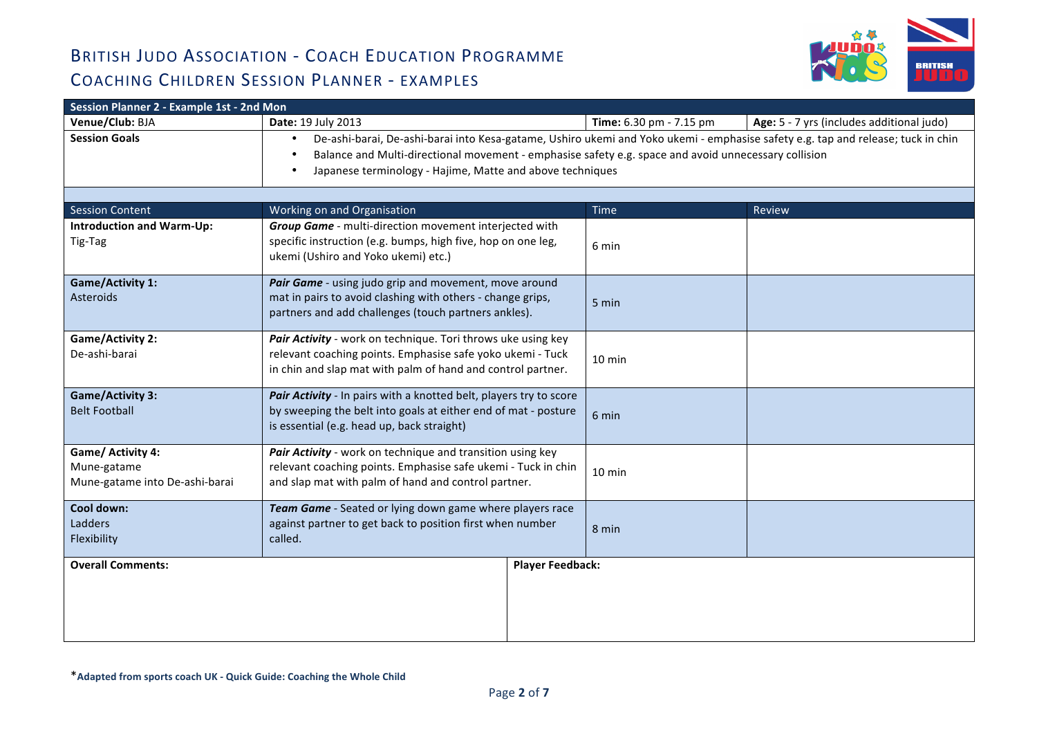

| Session Planner 2 - Example 1st - 2nd Mon                          |                                                                                                                                                                                                                                                                                                                                 |                         |                                           |  |  |
|--------------------------------------------------------------------|---------------------------------------------------------------------------------------------------------------------------------------------------------------------------------------------------------------------------------------------------------------------------------------------------------------------------------|-------------------------|-------------------------------------------|--|--|
| Venue/Club: BJA                                                    | Date: 19 July 2013                                                                                                                                                                                                                                                                                                              | Time: 6.30 pm - 7.15 pm | Age: 5 - 7 yrs (includes additional judo) |  |  |
| <b>Session Goals</b>                                               | De-ashi-barai, De-ashi-barai into Kesa-gatame, Ushiro ukemi and Yoko ukemi - emphasise safety e.g. tap and release; tuck in chin<br>$\bullet$<br>Balance and Multi-directional movement - emphasise safety e.g. space and avoid unnecessary collision<br>Japanese terminology - Hajime, Matte and above techniques<br>$\bullet$ |                         |                                           |  |  |
| <b>Session Content</b>                                             | Working on and Organisation                                                                                                                                                                                                                                                                                                     | Time                    | Review                                    |  |  |
| <b>Introduction and Warm-Up:</b><br>Tig-Tag                        | Group Game - multi-direction movement interjected with<br>specific instruction (e.g. bumps, high five, hop on one leg,<br>ukemi (Ushiro and Yoko ukemi) etc.)                                                                                                                                                                   | 6 min                   |                                           |  |  |
| <b>Game/Activity 1:</b><br><b>Asteroids</b>                        | Pair Game - using judo grip and movement, move around<br>mat in pairs to avoid clashing with others - change grips,<br>partners and add challenges (touch partners ankles).                                                                                                                                                     | 5 min                   |                                           |  |  |
| <b>Game/Activity 2:</b><br>De-ashi-barai                           | Pair Activity - work on technique. Tori throws uke using key<br>relevant coaching points. Emphasise safe yoko ukemi - Tuck<br>in chin and slap mat with palm of hand and control partner.                                                                                                                                       | 10 min                  |                                           |  |  |
| <b>Game/Activity 3:</b><br><b>Belt Football</b>                    | Pair Activity - In pairs with a knotted belt, players try to score<br>by sweeping the belt into goals at either end of mat - posture<br>is essential (e.g. head up, back straight)                                                                                                                                              | 6 min                   |                                           |  |  |
| Game/ Activity 4:<br>Mune-gatame<br>Mune-gatame into De-ashi-barai | Pair Activity - work on technique and transition using key<br>relevant coaching points. Emphasise safe ukemi - Tuck in chin<br>and slap mat with palm of hand and control partner.                                                                                                                                              | $10 \text{ min}$        |                                           |  |  |
| Cool down:<br>Ladders<br>Flexibility                               | Team Game - Seated or lying down game where players race<br>against partner to get back to position first when number<br>called.                                                                                                                                                                                                | 8 min                   |                                           |  |  |
| <b>Overall Comments:</b>                                           | <b>Player Feedback:</b>                                                                                                                                                                                                                                                                                                         |                         |                                           |  |  |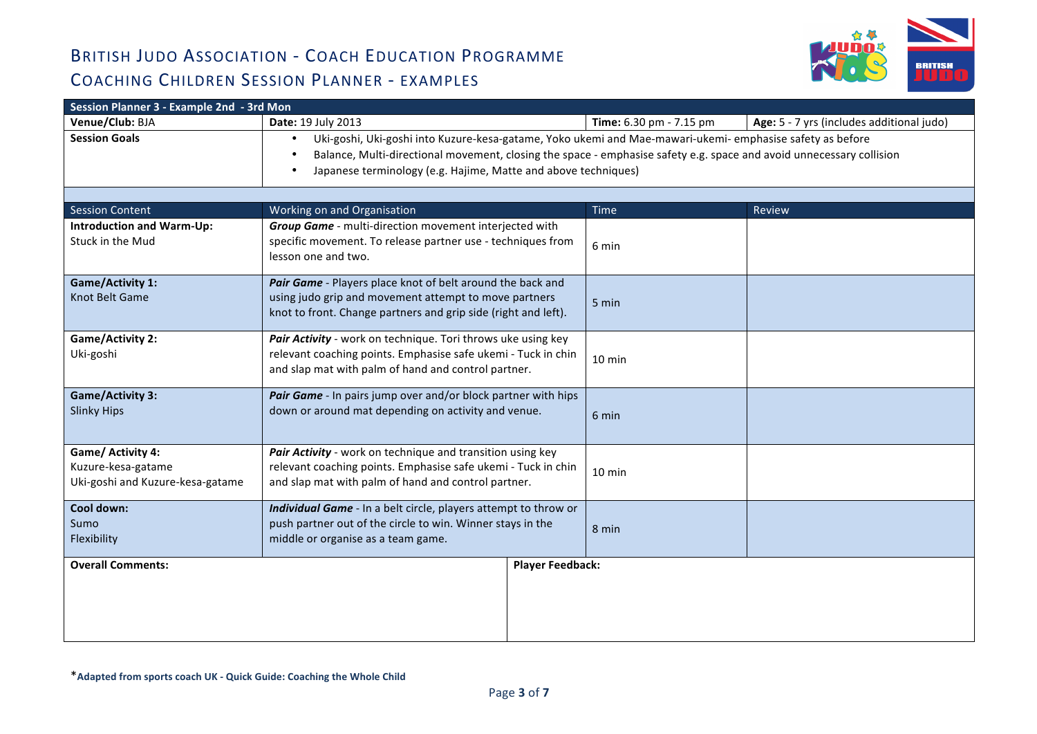

| Session Planner 3 - Example 2nd - 3rd Mon                                   |                                                                                                                                                                                                                                                                                                                  |                         |                                           |  |  |
|-----------------------------------------------------------------------------|------------------------------------------------------------------------------------------------------------------------------------------------------------------------------------------------------------------------------------------------------------------------------------------------------------------|-------------------------|-------------------------------------------|--|--|
| Venue/Club: BJA                                                             | Date: 19 July 2013                                                                                                                                                                                                                                                                                               | Time: 6.30 pm - 7.15 pm | Age: 5 - 7 yrs (includes additional judo) |  |  |
| <b>Session Goals</b>                                                        | Uki-goshi, Uki-goshi into Kuzure-kesa-gatame, Yoko ukemi and Mae-mawari-ukemi- emphasise safety as before<br>$\bullet$<br>Balance, Multi-directional movement, closing the space - emphasise safety e.g. space and avoid unnecessary collision<br>Japanese terminology (e.g. Hajime, Matte and above techniques) |                         |                                           |  |  |
| <b>Session Content</b>                                                      | Working on and Organisation                                                                                                                                                                                                                                                                                      | Time                    | <b>Review</b>                             |  |  |
| <b>Introduction and Warm-Up:</b><br>Stuck in the Mud                        | Group Game - multi-direction movement interjected with<br>specific movement. To release partner use - techniques from<br>lesson one and two.                                                                                                                                                                     | 6 min                   |                                           |  |  |
| <b>Game/Activity 1:</b><br>Knot Belt Game                                   | Pair Game - Players place knot of belt around the back and<br>using judo grip and movement attempt to move partners<br>knot to front. Change partners and grip side (right and left).                                                                                                                            | 5 min                   |                                           |  |  |
| <b>Game/Activity 2:</b><br>Uki-goshi                                        | Pair Activity - work on technique. Tori throws uke using key<br>relevant coaching points. Emphasise safe ukemi - Tuck in chin<br>and slap mat with palm of hand and control partner.                                                                                                                             | 10 min                  |                                           |  |  |
| <b>Game/Activity 3:</b><br><b>Slinky Hips</b>                               | Pair Game - In pairs jump over and/or block partner with hips<br>down or around mat depending on activity and venue.                                                                                                                                                                                             | 6 min                   |                                           |  |  |
| Game/ Activity 4:<br>Kuzure-kesa-gatame<br>Uki-goshi and Kuzure-kesa-gatame | Pair Activity - work on technique and transition using key<br>relevant coaching points. Emphasise safe ukemi - Tuck in chin<br>and slap mat with palm of hand and control partner.                                                                                                                               | $10 \text{ min}$        |                                           |  |  |
| Cool down:<br>Sumo<br>Flexibility                                           | Individual Game - In a belt circle, players attempt to throw or<br>push partner out of the circle to win. Winner stays in the<br>middle or organise as a team game.                                                                                                                                              | 8 min                   |                                           |  |  |
| <b>Overall Comments:</b>                                                    | <b>Player Feedback:</b>                                                                                                                                                                                                                                                                                          |                         |                                           |  |  |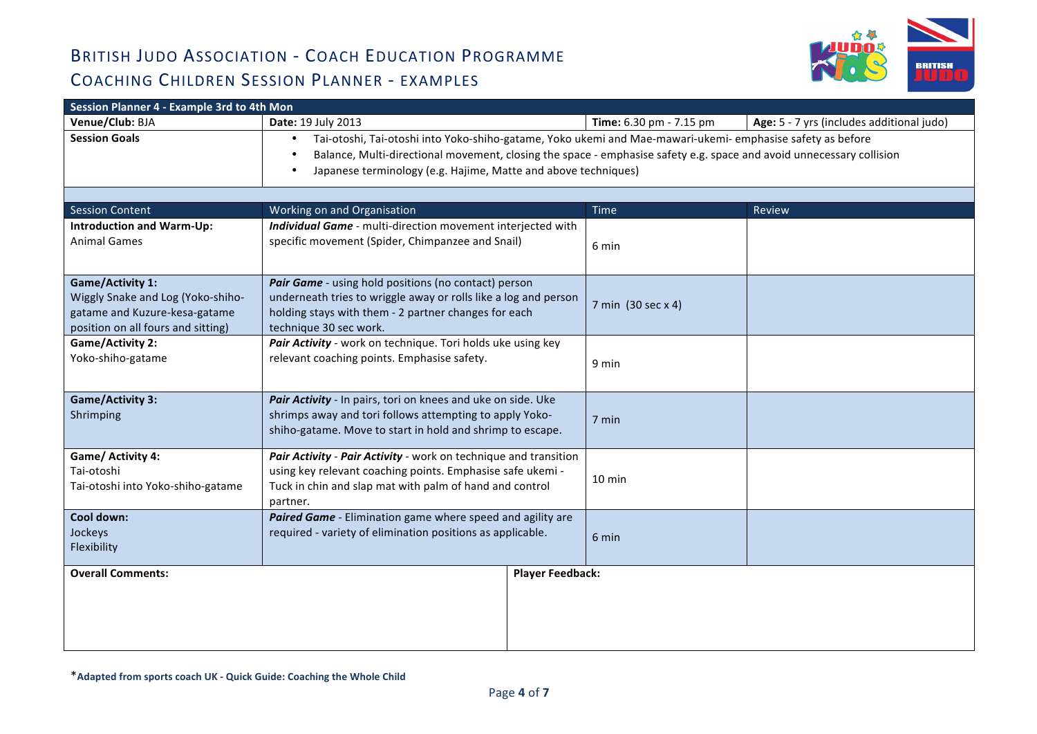

| Session Planner 4 - Example 3rd to 4th Mon                                                                                          |                                                                                                                                                                                                                                                                                                           |                         |                                           |  |  |
|-------------------------------------------------------------------------------------------------------------------------------------|-----------------------------------------------------------------------------------------------------------------------------------------------------------------------------------------------------------------------------------------------------------------------------------------------------------|-------------------------|-------------------------------------------|--|--|
| Venue/Club: BJA                                                                                                                     | Date: 19 July 2013                                                                                                                                                                                                                                                                                        | Time: 6.30 pm - 7.15 pm | Age: 5 - 7 yrs (includes additional judo) |  |  |
| <b>Session Goals</b>                                                                                                                | Tai-otoshi, Tai-otoshi into Yoko-shiho-gatame, Yoko ukemi and Mae-mawari-ukemi- emphasise safety as before<br>٠<br>Balance, Multi-directional movement, closing the space - emphasise safety e.g. space and avoid unnecessary collision<br>Japanese terminology (e.g. Hajime, Matte and above techniques) |                         |                                           |  |  |
|                                                                                                                                     |                                                                                                                                                                                                                                                                                                           |                         |                                           |  |  |
| <b>Session Content</b>                                                                                                              | Working on and Organisation                                                                                                                                                                                                                                                                               | Time                    | Review                                    |  |  |
| <b>Introduction and Warm-Up:</b><br><b>Animal Games</b>                                                                             | Individual Game - multi-direction movement interjected with<br>specific movement (Spider, Chimpanzee and Snail)                                                                                                                                                                                           | 6 min                   |                                           |  |  |
| <b>Game/Activity 1:</b><br>Wiggly Snake and Log (Yoko-shiho-<br>gatame and Kuzure-kesa-gatame<br>position on all fours and sitting) | Pair Game - using hold positions (no contact) person<br>underneath tries to wriggle away or rolls like a log and person<br>holding stays with them - 2 partner changes for each<br>technique 30 sec work.                                                                                                 | 7 min (30 sec x 4)      |                                           |  |  |
| <b>Game/Activity 2:</b><br>Yoko-shiho-gatame                                                                                        | Pair Activity - work on technique. Tori holds uke using key<br>relevant coaching points. Emphasise safety.                                                                                                                                                                                                | 9 min                   |                                           |  |  |
| <b>Game/Activity 3:</b><br>Shrimping                                                                                                | Pair Activity - In pairs, tori on knees and uke on side. Uke<br>shrimps away and tori follows attempting to apply Yoko-<br>shiho-gatame. Move to start in hold and shrimp to escape.                                                                                                                      | 7 min                   |                                           |  |  |
| Game/ Activity 4:<br>Tai-otoshi<br>Tai-otoshi into Yoko-shiho-gatame                                                                | Pair Activity - Pair Activity - work on technique and transition<br>using key relevant coaching points. Emphasise safe ukemi -<br>Tuck in chin and slap mat with palm of hand and control<br>partner.                                                                                                     | 10 min                  |                                           |  |  |
| Cool down:<br>Jockeys<br>Flexibility                                                                                                | Paired Game - Elimination game where speed and agility are<br>required - variety of elimination positions as applicable.                                                                                                                                                                                  | 6 min                   |                                           |  |  |
| <b>Overall Comments:</b>                                                                                                            | <b>Player Feedback:</b>                                                                                                                                                                                                                                                                                   |                         |                                           |  |  |
|                                                                                                                                     |                                                                                                                                                                                                                                                                                                           |                         |                                           |  |  |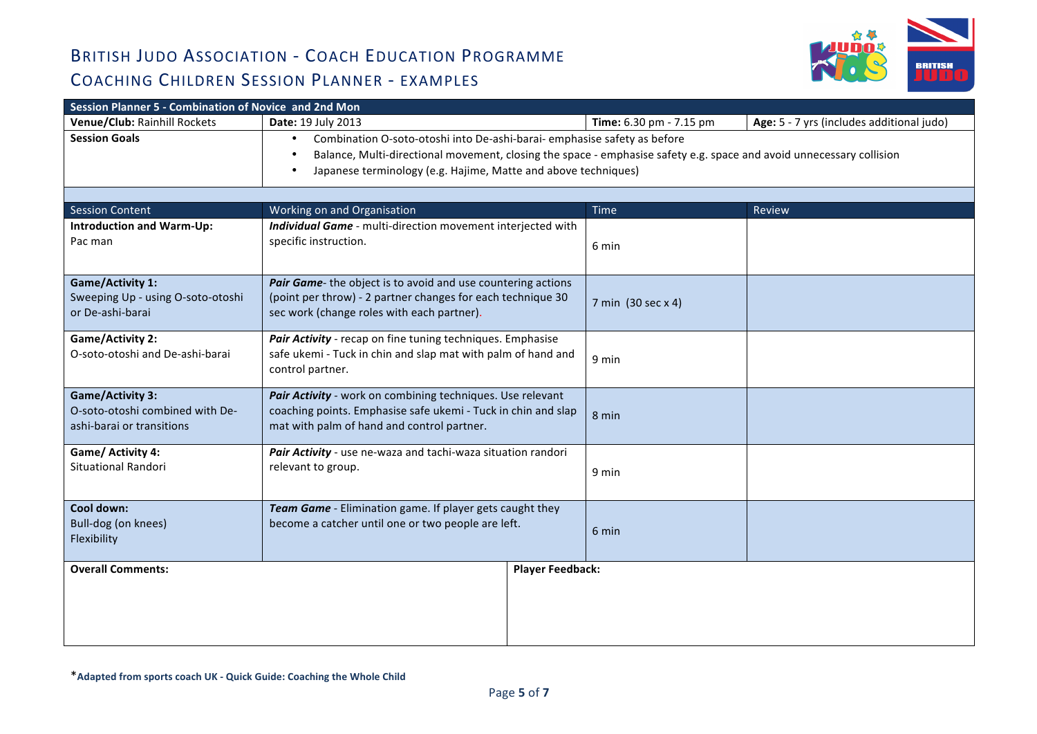

| Session Planner 5 - Combination of Novice and 2nd Mon                                   |                                                                                                                                                                                                                                                                                 |                         |                                           |  |  |
|-----------------------------------------------------------------------------------------|---------------------------------------------------------------------------------------------------------------------------------------------------------------------------------------------------------------------------------------------------------------------------------|-------------------------|-------------------------------------------|--|--|
| Venue/Club: Rainhill Rockets                                                            | Date: 19 July 2013                                                                                                                                                                                                                                                              | Time: 6.30 pm - 7.15 pm | Age: 5 - 7 yrs (includes additional judo) |  |  |
| <b>Session Goals</b>                                                                    | Combination O-soto-otoshi into De-ashi-barai- emphasise safety as before<br>$\bullet$<br>Balance, Multi-directional movement, closing the space - emphasise safety e.g. space and avoid unnecessary collision<br>Japanese terminology (e.g. Hajime, Matte and above techniques) |                         |                                           |  |  |
|                                                                                         |                                                                                                                                                                                                                                                                                 |                         |                                           |  |  |
| <b>Session Content</b>                                                                  | Working on and Organisation                                                                                                                                                                                                                                                     | <b>Time</b>             | Review                                    |  |  |
| <b>Introduction and Warm-Up:</b><br>Pac man                                             | Individual Game - multi-direction movement interjected with<br>specific instruction.                                                                                                                                                                                            | 6 min                   |                                           |  |  |
| <b>Game/Activity 1:</b><br>Sweeping Up - using O-soto-otoshi<br>or De-ashi-barai        | Pair Game- the object is to avoid and use countering actions<br>(point per throw) - 2 partner changes for each technique 30<br>sec work (change roles with each partner).                                                                                                       | 7 min (30 sec x 4)      |                                           |  |  |
| <b>Game/Activity 2:</b><br>O-soto-otoshi and De-ashi-barai                              | Pair Activity - recap on fine tuning techniques. Emphasise<br>safe ukemi - Tuck in chin and slap mat with palm of hand and<br>control partner.                                                                                                                                  | 9 min                   |                                           |  |  |
| <b>Game/Activity 3:</b><br>O-soto-otoshi combined with De-<br>ashi-barai or transitions | Pair Activity - work on combining techniques. Use relevant<br>coaching points. Emphasise safe ukemi - Tuck in chin and slap<br>mat with palm of hand and control partner.                                                                                                       | 8 min                   |                                           |  |  |
| Game/ Activity 4:<br><b>Situational Randori</b>                                         | Pair Activity - use ne-waza and tachi-waza situation randori<br>relevant to group.                                                                                                                                                                                              | 9 min                   |                                           |  |  |
| Cool down:<br>Bull-dog (on knees)<br>Flexibility                                        | Team Game - Elimination game. If player gets caught they<br>become a catcher until one or two people are left.                                                                                                                                                                  | 6 min                   |                                           |  |  |
| <b>Overall Comments:</b>                                                                | <b>Player Feedback:</b>                                                                                                                                                                                                                                                         |                         |                                           |  |  |
|                                                                                         |                                                                                                                                                                                                                                                                                 |                         |                                           |  |  |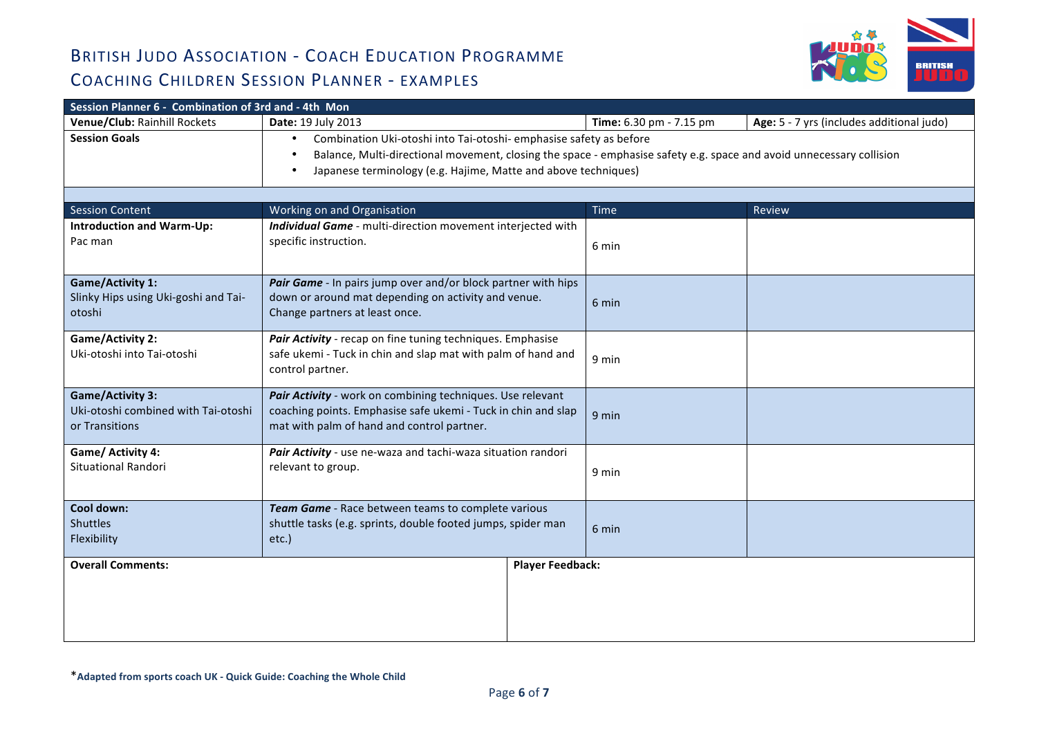

| Session Planner 6 - Combination of 3rd and - 4th Mon |                                                                                                                      |                         |                                           |  |  |
|------------------------------------------------------|----------------------------------------------------------------------------------------------------------------------|-------------------------|-------------------------------------------|--|--|
| Venue/Club: Rainhill Rockets                         | Date: 19 July 2013                                                                                                   | Time: 6.30 pm - 7.15 pm | Age: 5 - 7 yrs (includes additional judo) |  |  |
| <b>Session Goals</b>                                 | Combination Uki-otoshi into Tai-otoshi- emphasise safety as before<br>$\bullet$                                      |                         |                                           |  |  |
|                                                      | Balance, Multi-directional movement, closing the space - emphasise safety e.g. space and avoid unnecessary collision |                         |                                           |  |  |
|                                                      | Japanese terminology (e.g. Hajime, Matte and above techniques)                                                       |                         |                                           |  |  |
|                                                      |                                                                                                                      |                         |                                           |  |  |
| <b>Session Content</b>                               | Working on and Organisation                                                                                          | Time                    | Review                                    |  |  |
| <b>Introduction and Warm-Up:</b>                     | Individual Game - multi-direction movement interjected with                                                          |                         |                                           |  |  |
| Pac man                                              | specific instruction.                                                                                                | 6 min                   |                                           |  |  |
|                                                      |                                                                                                                      |                         |                                           |  |  |
| <b>Game/Activity 1:</b>                              | Pair Game - In pairs jump over and/or block partner with hips                                                        |                         |                                           |  |  |
| Slinky Hips using Uki-goshi and Tai-                 | down or around mat depending on activity and venue.                                                                  | 6 min                   |                                           |  |  |
| otoshi                                               | Change partners at least once.                                                                                       |                         |                                           |  |  |
| <b>Game/Activity 2:</b>                              | Pair Activity - recap on fine tuning techniques. Emphasise                                                           | 9 min                   |                                           |  |  |
| Uki-otoshi into Tai-otoshi                           | safe ukemi - Tuck in chin and slap mat with palm of hand and                                                         |                         |                                           |  |  |
|                                                      | control partner.                                                                                                     |                         |                                           |  |  |
| <b>Game/Activity 3:</b>                              | Pair Activity - work on combining techniques. Use relevant                                                           |                         |                                           |  |  |
| Uki-otoshi combined with Tai-otoshi                  | coaching points. Emphasise safe ukemi - Tuck in chin and slap                                                        | 9 min                   |                                           |  |  |
| or Transitions                                       | mat with palm of hand and control partner.                                                                           |                         |                                           |  |  |
| Game/ Activity 4:                                    | Pair Activity - use ne-waza and tachi-waza situation randori                                                         |                         |                                           |  |  |
| Situational Randori                                  | relevant to group.                                                                                                   | 9 min                   |                                           |  |  |
|                                                      |                                                                                                                      |                         |                                           |  |  |
| Cool down:                                           | Team Game - Race between teams to complete various                                                                   |                         |                                           |  |  |
| <b>Shuttles</b>                                      | shuttle tasks (e.g. sprints, double footed jumps, spider man                                                         | 6 min                   |                                           |  |  |
| Flexibility                                          | etc.)                                                                                                                |                         |                                           |  |  |
| <b>Overall Comments:</b><br><b>Player Feedback:</b>  |                                                                                                                      |                         |                                           |  |  |
|                                                      |                                                                                                                      |                         |                                           |  |  |
|                                                      |                                                                                                                      |                         |                                           |  |  |
|                                                      |                                                                                                                      |                         |                                           |  |  |
|                                                      |                                                                                                                      |                         |                                           |  |  |